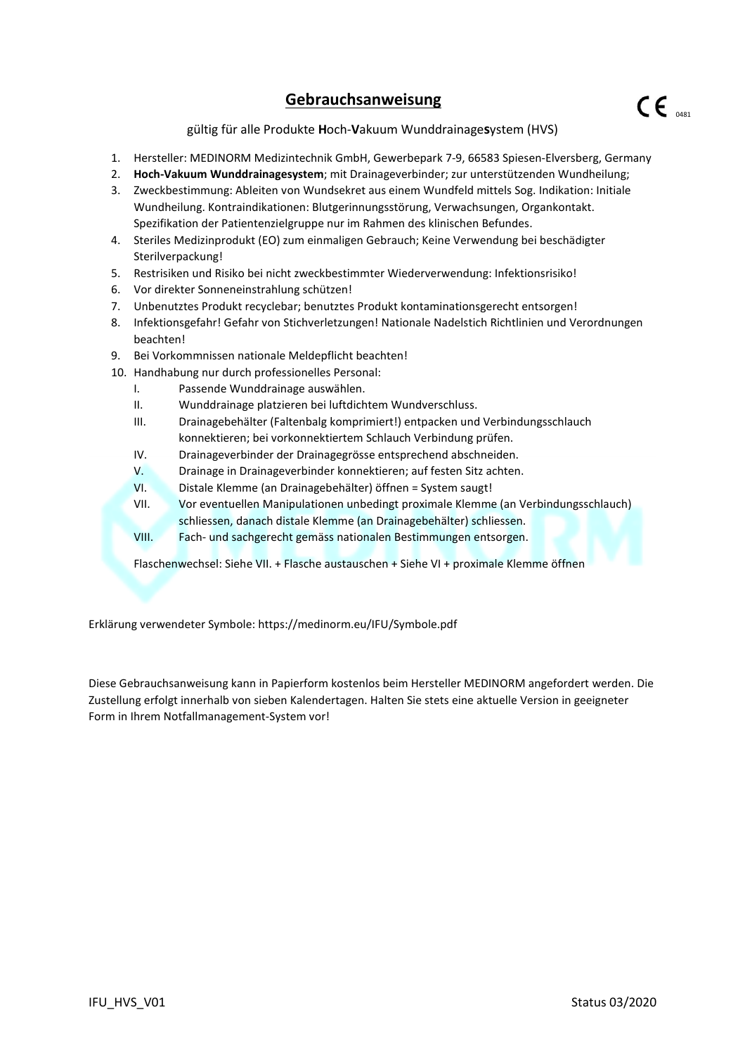## **Gebrauchsanweisung**

gültig für alle Produkte **H**och-**V**akuum Wunddrainage**s**ystem (HVS)

- 1. Hersteller: MEDINORM Medizintechnik GmbH, Gewerbepark 7-9, 66583 Spiesen-Elversberg, Germany
- 2. **Hoch-Vakuum Wunddrainagesystem**; mit Drainageverbinder; zur unterstützenden Wundheilung;
- 3. Zweckbestimmung: Ableiten von Wundsekret aus einem Wundfeld mittels Sog. Indikation: Initiale Wundheilung. Kontraindikationen: Blutgerinnungsstörung, Verwachsungen, Organkontakt. Spezifikation der Patientenzielgruppe nur im Rahmen des klinischen Befundes.
- 4. Steriles Medizinprodukt (EO) zum einmaligen Gebrauch; Keine Verwendung bei beschädigter Sterilverpackung!
- 5. Restrisiken und Risiko bei nicht zweckbestimmter Wiederverwendung: Infektionsrisiko!
- 6. Vor direkter Sonneneinstrahlung schützen!
- 7. Unbenutztes Produkt recyclebar; benutztes Produkt kontaminationsgerecht entsorgen!
- 8. Infektionsgefahr! Gefahr von Stichverletzungen! Nationale Nadelstich Richtlinien und Verordnungen beachten!
- 9. Bei Vorkommnissen nationale Meldepflicht beachten!
- 10. Handhabung nur durch professionelles Personal:
	- I. Passende Wunddrainage auswählen.
	- II. Wunddrainage platzieren bei luftdichtem Wundverschluss.
	- III. Drainagebehälter (Faltenbalg komprimiert!) entpacken und Verbindungsschlauch konnektieren; bei vorkonnektiertem Schlauch Verbindung prüfen.
	- IV. Drainageverbinder der Drainagegrösse entsprechend abschneiden.
	- V. Drainage in Drainageverbinder konnektieren; auf festen Sitz achten.
	- VI. Distale Klemme (an Drainagebehälter) öffnen = System saugt!
	- VII. Vor eventuellen Manipulationen unbedingt proximale Klemme (an Verbindungsschlauch) schliessen, danach distale Klemme (an Drainagebehälter) schliessen.
	- VIII. Fach- und sachgerecht gemäss nationalen Bestimmungen entsorgen.

Flaschenwechsel: Siehe VII. + Flasche austauschen + Siehe VI + proximale Klemme öffnen

Erklärung verwendeter Symbole: https://medinorm.eu/IFU/Symbole.pdf

Diese Gebrauchsanweisung kann in Papierform kostenlos beim Hersteller MEDINORM angefordert werden. Die Zustellung erfolgt innerhalb von sieben Kalendertagen. Halten Sie stets eine aktuelle Version in geeigneter Form in Ihrem Notfallmanagement-System vor!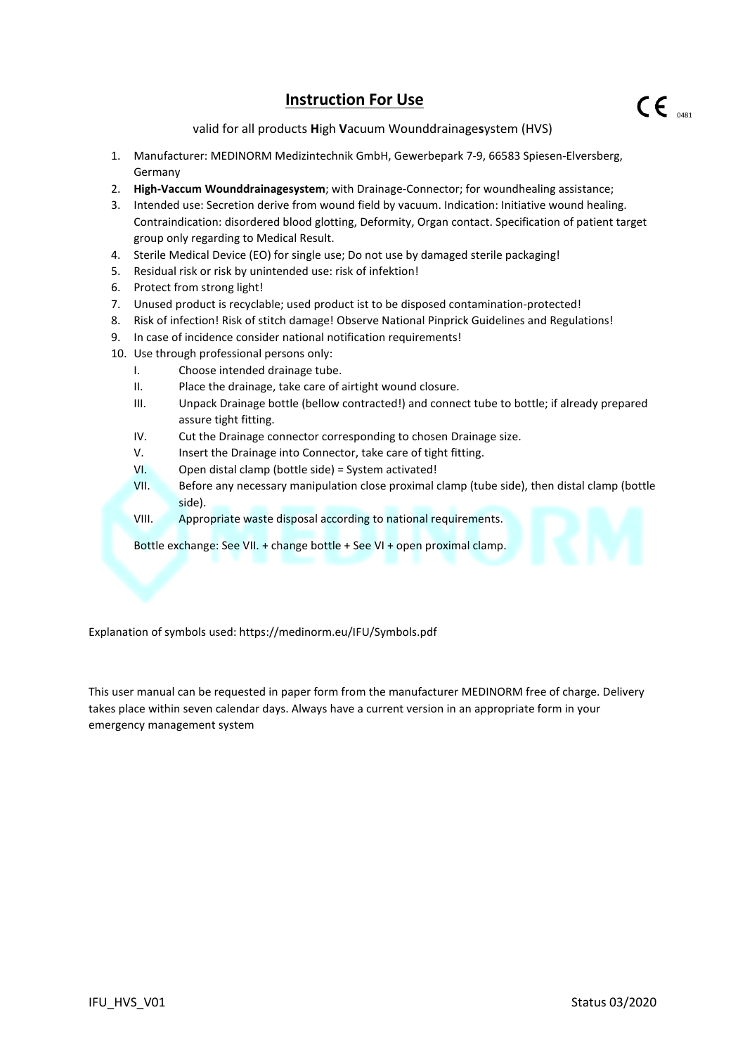## **Instruction For Use**

valid for all products **H**igh **V**acuum Wounddrainage**s**ystem (HVS)

- 1. Manufacturer: MEDINORM Medizintechnik GmbH, Gewerbepark 7-9, 66583 Spiesen-Elversberg, Germany
- 2. **High-Vaccum Wounddrainagesystem**; with Drainage-Connector; for woundhealing assistance;
- 3. Intended use: Secretion derive from wound field by vacuum. Indication: Initiative wound healing. Contraindication: disordered blood glotting, Deformity, Organ contact. Specification of patient target group only regarding to Medical Result.
- 4. Sterile Medical Device (EO) for single use; Do not use by damaged sterile packaging!
- 5. Residual risk or risk by unintended use: risk of infektion!
- 6. Protect from strong light!
- 7. Unused product is recyclable; used product ist to be disposed contamination-protected!
- 8. Risk of infection! Risk of stitch damage! Observe National Pinprick Guidelines and Regulations!
- 9. In case of incidence consider national notification requirements!
- 10. Use through professional persons only:
	- I. Choose intended drainage tube.
	- II. Place the drainage, take care of airtight wound closure.
	- III. Unpack Drainage bottle (bellow contracted!) and connect tube to bottle; if already prepared assure tight fitting.
	- IV. Cut the Drainage connector corresponding to chosen Drainage size.
	- V. Insert the Drainage into Connector, take care of tight fitting.
	- VI. Open distal clamp (bottle side) = System activated!
	- VII. Before any necessary manipulation close proximal clamp (tube side), then distal clamp (bottle side).
	- VIII. Appropriate waste disposal according to national requirements.

Bottle exchange: See VII. + change bottle + See VI + open proximal clamp.

Explanation of symbols used: https://medinorm.eu/IFU/Symbols.pdf

This user manual can be requested in paper form from the manufacturer MEDINORM free of charge. Delivery takes place within seven calendar days. Always have a current version in an appropriate form in your emergency management system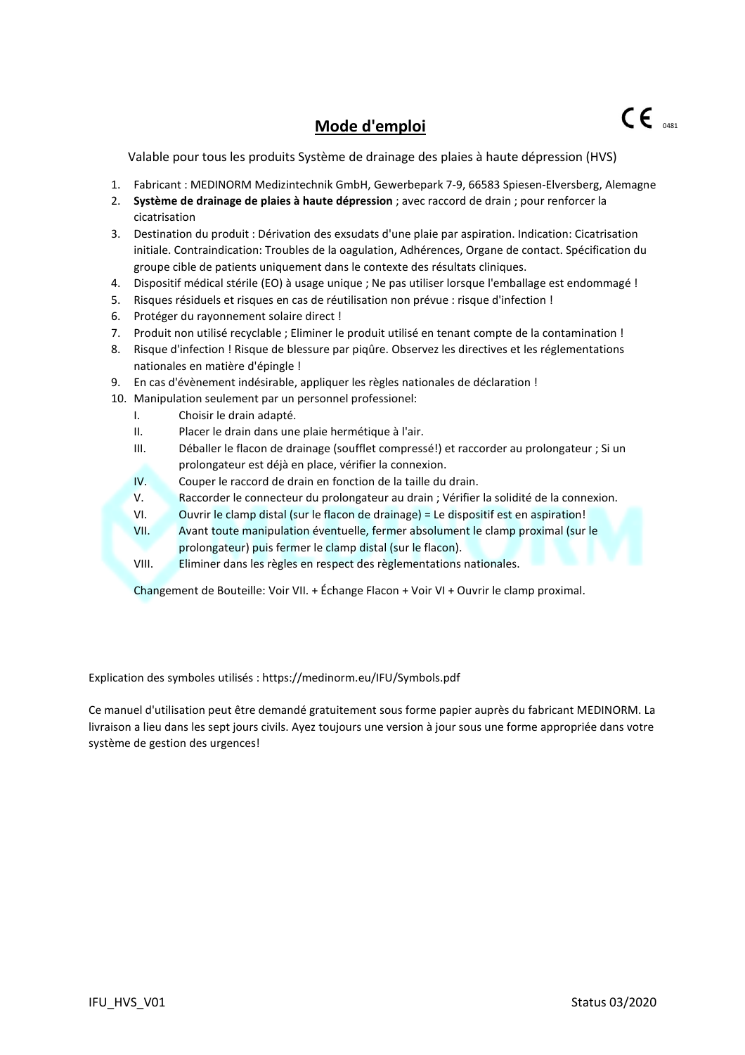## **Mode d'emploi**

Valable pour tous les produits Système de drainage des plaies à haute dépression (HVS)

- 1. Fabricant : MEDINORM Medizintechnik GmbH, Gewerbepark 7-9, 66583 Spiesen-Elversberg, Alemagne
- 2. **Système de drainage de plaies à haute dépression** ; avec raccord de drain ; pour renforcer la cicatrisation
- 3. Destination du produit : Dérivation des exsudats d'une plaie par aspiration. Indication: Cicatrisation initiale. Contraindication: Troubles de la oagulation, Adhérences, Organe de contact. Spécification du groupe cible de patients uniquement dans le contexte des résultats cliniques.
- 4. Dispositif médical stérile (EO) à usage unique ; Ne pas utiliser lorsque l'emballage est endommagé !
- 5. Risques résiduels et risques en cas de réutilisation non prévue : risque d'infection !
- 6. Protéger du rayonnement solaire direct !
- 7. Produit non utilisé recyclable ; Eliminer le produit utilisé en tenant compte de la contamination !
- 8. Risque d'infection ! Risque de blessure par piqûre. Observez les directives et les réglementations nationales en matière d'épingle !
- 9. En cas d'évènement indésirable, appliquer les règles nationales de déclaration !
- 10. Manipulation seulement par un personnel professionel:
	- I. Choisir le drain adapté.
	- II. Placer le drain dans une plaie hermétique à l'air.
	- III. Déballer le flacon de drainage (soufflet compressé!) et raccorder au prolongateur ; Si un prolongateur est déjà en place, vérifier la connexion.
	- IV. Couper le raccord de drain en fonction de la taille du drain.
	- V. Raccorder le connecteur du prolongateur au drain ; Vérifier la solidité de la connexion.
	- VI. Ouvrir le clamp distal (sur le flacon de drainage) = Le dispositif est en aspiration!
	- VII. Avant toute manipulation éventuelle, fermer absolument le clamp proximal (sur le prolongateur) puis fermer le clamp distal (sur le flacon).
	- VIII. Eliminer dans les règles en respect des règlementations nationales.

Changement de Bouteille: Voir VII. + Échange Flacon + Voir VI + Ouvrir le clamp proximal.

Explication des symboles utilisés : https://medinorm.eu/IFU/Symbols.pdf

Ce manuel d'utilisation peut être demandé gratuitement sous forme papier auprès du fabricant MEDINORM. La livraison a lieu dans les sept jours civils. Ayez toujours une version à jour sous une forme appropriée dans votre système de gestion des urgences!